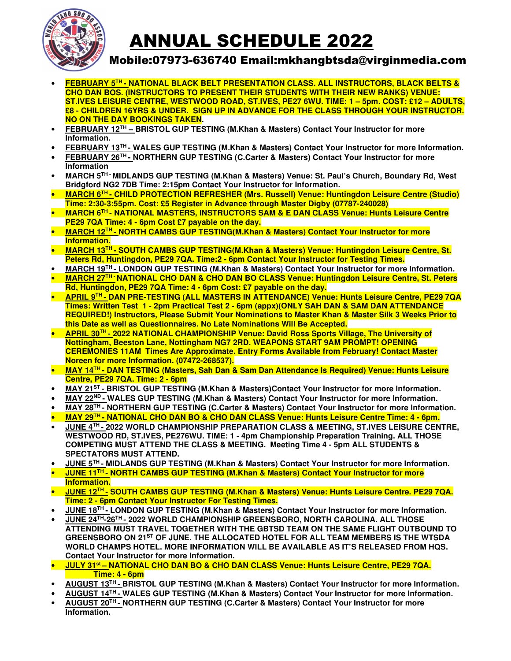

# ANNUAL SCHEDULE 2022

### Mobile:07973-636740 Email:mkhangbtsda@virginmedia.com

- **FEBRUARY 5TH NATIONAL BLACK BELT PRESENTATION CLASS. ALL INSTRUCTORS, BLACK BELTS & CHO DAN BOS. (INSTRUCTORS TO PRESENT THEIR STUDENTS WITH THEIR NEW RANKS) VENUE: ST.IVES LEISURE CENTRE, WESTWOOD ROAD, ST.IVES, PE27 6WU. TIME: 1 – 5pm. COST: £12 – ADULTS, £8 - CHILDREN 16YRS & UNDER. SIGN UP IN ADVANCE FOR THE CLASS THROUGH YOUR INSTRUCTOR. NO ON THE DAY BOOKINGS TAKEN.**
- **FEBRUARY 12TH BRISTOL GUP TESTING (M.Khan & Masters) Contact Your Instructor for more Information.**
- **FEBRUARY 13TH WALES GUP TESTING (M.Khan & Masters) Contact Your Instructor for more Information.**
- **FEBRUARY 26TH NORTHERN GUP TESTING (C.Carter & Masters) Contact Your Instructor for more Information**
- **MARCH 5TH MIDLANDS GUP TESTING (M.Khan & Masters) Venue: St. Paul's Church, Boundary Rd, West Bridgford NG2 7DB Time: 2:15pm Contact Your Instructor for Information.**
- **MARCH 6TH CHILD PROTECTION REFRESHER (Mrs. Russell) Venue: Huntingdon Leisure Centre (Studio) Time: 2:30-3:55pm. Cost: £5 Register in Advance through Master Digby (07787-240028)**
- **MARCH 6TH NATIONAL MASTERS, INSTRUCTORS SAM & E DAN CLASS Venue: Hunts Leisure Centre PE29 7QA Time: 4 - 6pm Cost £7 payable on the day.**
- **MARCH 12TH NORTH CAMBS GUP TESTING(M.Khan & Masters) Contact Your Instructor for more Information.**
- **MARCH 13TH SOUTH CAMBS GUP TESTING(M.Khan & Masters) Venue: Huntingdon Leisure Centre, St. Peters Rd, Huntingdon, PE29 7QA. Time:2 - 6pm Contact Your Instructor for Testing Times.**
- **MARCH 19TH LONDON GUP TESTING (M.Khan & Masters) Contact Your Instructor for more Information.**
- **MARCH 27TH NATIONAL CHO DAN & CHO DAN BO CLASS Venue: Huntingdon Leisure Centre, St. Peters Rd, Huntingdon, PE29 7QA Time: 4 - 6pm Cost: £7 payable on the day.**
- **APRIL 9TH DAN PRE-TESTING (ALL MASTERS IN ATTENDANCE) Venue: Hunts Leisure Centre, PE29 7QA Times: Written Test 1 - 2pm Practical Test 2 - 6pm (appx)(ONLY SAH DAN & SAM DAN ATTENDANCE REQUIRED!) Instructors, Please Submit Your Nominations to Master Khan & Master Silk 3 Weeks Prior to this Date as well as Questionnaires. No Late Nominations Will Be Accepted.**
- **APRIL 30TH 2022 NATIONAL CHAMPIONSHIP Venue: David Ross Sports Village, The University of Nottingham, Beeston Lane, Nottingham NG7 2RD. WEAPONS START 9AM PROMPT! OPENING CEREMONIES 11AM Times Are Approximate. Entry Forms Available from February! Contact Master Noreen for more Information. (07472-268537).**
- **MAY 14TH DAN TESTING (Masters, Sah Dan & Sam Dan Attendance Is Required) Venue: Hunts Leisure Centre, PE29 7QA. Time: 2 - 6pm**
- **MAY 21ST BRISTOL GUP TESTING (M.Khan & Masters)Contact Your Instructor for more Information.**
- MAY 22<sup>ND</sup> WALES GUP TESTING (M.Khan & Masters) Contact Your Instructor for more Information.
- **MAY 28TH NORTHERN GUP TESTING (C.Carter & Masters) Contact Your Instructor for more Information.**
- **MAY 29<sup>TH</sup> NATIONAL CHO DAN BO & CHO DAN CLASS Venue: Hunts Leisure Centre Time: 4 6pm.**
- **JUNE 4TH 2022 WORLD CHAMPIONSHIP PREPARATION CLASS & MEETING, ST.IVES LEISURE CENTRE, WESTWOOD RD, ST.IVES, PE276WU. TIME: 1 - 4pm Championship Preparation Training. ALL THOSE COMPETING MUST ATTEND THE CLASS & MEETING. Meeting Time 4 - 5pm ALL STUDENTS & SPECTATORS MUST ATTEND.**
- **JUNE 5TH MIDLANDS GUP TESTING (M.Khan & Masters) Contact Your Instructor for more Information.**
- **JUNE 11TH NORTH CAMBS GUP TESTING (M.Khan & Masters) Contact Your Instructor for more Information.**
- **JUNE 12TH SOUTH CAMBS GUP TESTING (M.Khan & Masters) Venue: Hunts Leisure Centre. PE29 7QA. Time: 2 - 6pm Contact Your Instructor For Testing Times.**
- **JUNE 18TH LONDON GUP TESTING (M.Khan & Masters) Contact Your Instructor for more Information.**
- **JUNE 24TH-26TH 2022 WORLD CHAMPIONSHIP GREENSBORO, NORTH CAROLINA. ALL THOSE ATTENDING MUST TRAVEL TOGETHER WITH THE GBTSD TEAM ON THE SAME FLIGHT OUTBOUND TO GREENSBORO ON 21ST OF JUNE. THE ALLOCATED HOTEL FOR ALL TEAM MEMBERS IS THE WTSDA WORLD CHAMPS HOTEL. MORE INFORMATION WILL BE AVAILABLE AS IT'S RELEASED FROM HQS. Contact Your Instructor for more Information.**
- **JULY 31st NATIONAL CHO DAN BO & CHO DAN CLASS Venue: Hunts Leisure Centre, PE29 7QA. Time: 4 - 6pm**
- **AUGUST 13TH BRISTOL GUP TESTING (M.Khan & Masters) Contact Your Instructor for more Information.**
- **AUGUST 14TH WALES GUP TESTING (M.Khan & Masters) Contact Your Instructor for more Information.**
- **AUGUST 20TH NORTHERN GUP TESTING (C.Carter & Masters) Contact Your Instructor for more Information.**